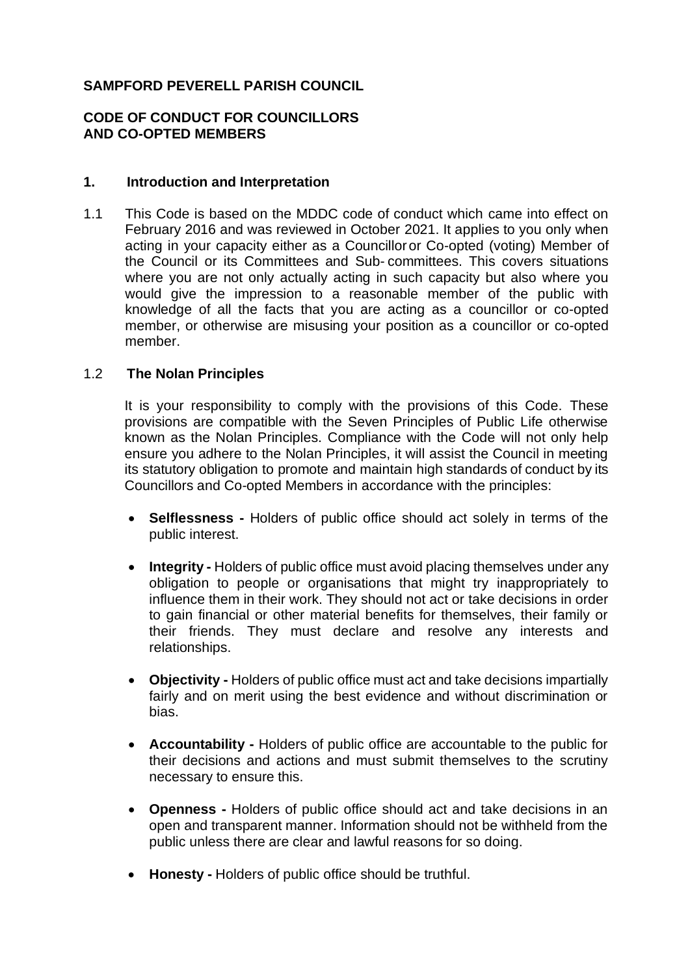# **SAMPFORD PEVERELL PARISH COUNCIL**

## **CODE OF CONDUCT FOR COUNCILLORS AND CO-OPTED MEMBERS**

#### **1. Introduction and Interpretation**

1.1 This Code is based on the MDDC code of conduct which came into effect on February 2016 and was reviewed in October 2021. It applies to you only when acting in your capacity either as a Councilloror Co-opted (voting) Member of the Council or its Committees and Sub- committees. This covers situations where you are not only actually acting in such capacity but also where you would give the impression to a reasonable member of the public with knowledge of all the facts that you are acting as a councillor or co-opted member, or otherwise are misusing your position as a councillor or co-opted member.

#### 1.2 **The Nolan Principles**

It is your responsibility to comply with the provisions of this Code. These provisions are compatible with the Seven Principles of Public Life otherwise known as the Nolan Principles. Compliance with the Code will not only help ensure you adhere to the Nolan Principles, it will assist the Council in meeting its statutory obligation to promote and maintain high standards of conduct by its Councillors and Co-opted Members in accordance with the principles:

- **Selflessness -** Holders of public office should act solely in terms of the public interest.
- **Integrity -** Holders of public office must avoid placing themselves under any obligation to people or organisations that might try inappropriately to influence them in their work. They should not act or take decisions in order to gain financial or other material benefits for themselves, their family or their friends. They must declare and resolve any interests and relationships.
- **Objectivity -** Holders of public office must act and take decisions impartially fairly and on merit using the best evidence and without discrimination or bias.
- **Accountability -** Holders of public office are accountable to the public for their decisions and actions and must submit themselves to the scrutiny necessary to ensure this.
- **Openness -** Holders of public office should act and take decisions in an open and transparent manner. Information should not be withheld from the public unless there are clear and lawful reasons for so doing.
- **Honesty -** Holders of public office should be truthful.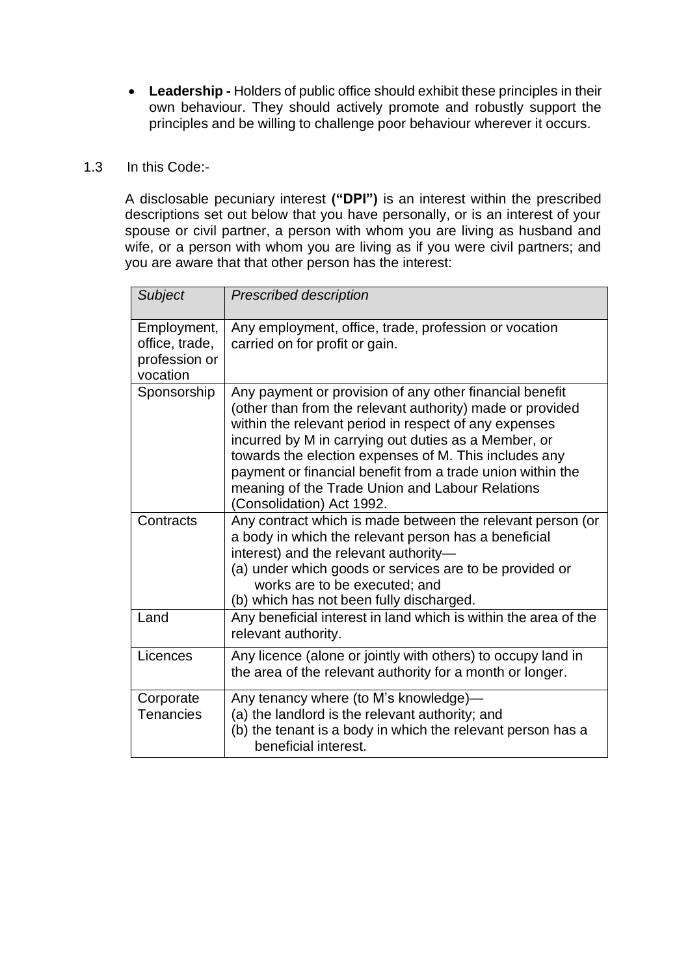• **Leadership -** Holders of public office should exhibit these principles in their own behaviour. They should actively promote and robustly support the principles and be willing to challenge poor behaviour wherever it occurs.

### 1.3 In this Code:-

A disclosable pecuniary interest **("DPI")** is an interest within the prescribed descriptions set out below that you have personally, or is an interest of your spouse or civil partner, a person with whom you are living as husband and wife, or a person with whom you are living as if you were civil partners; and you are aware that that other person has the interest:

| Subject                                                    | <b>Prescribed description</b>                                                                                                                                                                                                                                                                                                                                                                                                                |
|------------------------------------------------------------|----------------------------------------------------------------------------------------------------------------------------------------------------------------------------------------------------------------------------------------------------------------------------------------------------------------------------------------------------------------------------------------------------------------------------------------------|
| Employment,<br>office, trade,<br>profession or<br>vocation | Any employment, office, trade, profession or vocation<br>carried on for profit or gain.                                                                                                                                                                                                                                                                                                                                                      |
| Sponsorship                                                | Any payment or provision of any other financial benefit<br>(other than from the relevant authority) made or provided<br>within the relevant period in respect of any expenses<br>incurred by M in carrying out duties as a Member, or<br>towards the election expenses of M. This includes any<br>payment or financial benefit from a trade union within the<br>meaning of the Trade Union and Labour Relations<br>(Consolidation) Act 1992. |
| Contracts                                                  | Any contract which is made between the relevant person (or<br>a body in which the relevant person has a beneficial<br>interest) and the relevant authority-<br>(a) under which goods or services are to be provided or<br>works are to be executed; and<br>(b) which has not been fully discharged.                                                                                                                                          |
| Land                                                       | Any beneficial interest in land which is within the area of the<br>relevant authority.                                                                                                                                                                                                                                                                                                                                                       |
| Licences                                                   | Any licence (alone or jointly with others) to occupy land in<br>the area of the relevant authority for a month or longer.                                                                                                                                                                                                                                                                                                                    |
| Corporate<br><b>Tenancies</b>                              | Any tenancy where (to M's knowledge)-<br>(a) the landlord is the relevant authority; and<br>(b) the tenant is a body in which the relevant person has a<br>beneficial interest.                                                                                                                                                                                                                                                              |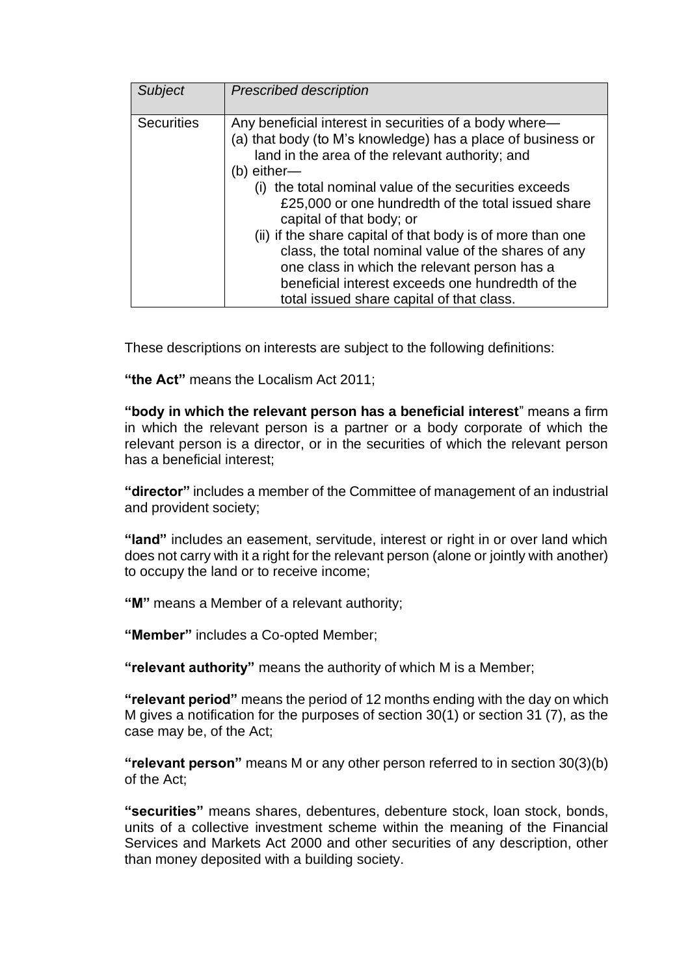| Subject           | <b>Prescribed description</b>                                                                                                                                                                                                                                                                                                                                                                                                                                                                                                                                                                            |
|-------------------|----------------------------------------------------------------------------------------------------------------------------------------------------------------------------------------------------------------------------------------------------------------------------------------------------------------------------------------------------------------------------------------------------------------------------------------------------------------------------------------------------------------------------------------------------------------------------------------------------------|
| <b>Securities</b> | Any beneficial interest in securities of a body where—<br>(a) that body (to M's knowledge) has a place of business or<br>land in the area of the relevant authority; and<br>(b) either-<br>(i) the total nominal value of the securities exceeds<br>£25,000 or one hundredth of the total issued share<br>capital of that body; or<br>(ii) if the share capital of that body is of more than one<br>class, the total nominal value of the shares of any<br>one class in which the relevant person has a<br>beneficial interest exceeds one hundredth of the<br>total issued share capital of that class. |

These descriptions on interests are subject to the following definitions:

**"the Act"** means the Localism Act 2011;

**"body in which the relevant person has a beneficial interest**" means a firm in which the relevant person is a partner or a body corporate of which the relevant person is a director, or in the securities of which the relevant person has a beneficial interest;

**"director"** includes a member of the Committee of management of an industrial and provident society;

**"land"** includes an easement, servitude, interest or right in or over land which does not carry with it a right for the relevant person (alone or jointly with another) to occupy the land or to receive income;

**"M"** means a Member of a relevant authority;

**"Member"** includes a Co-opted Member;

**"relevant authority"** means the authority of which M is a Member;

**"relevant period"** means the period of 12 months ending with the day on which M gives a notification for the purposes of section 30(1) or section 31 (7), as the case may be, of the Act;

**"relevant person"** means M or any other person referred to in section 30(3)(b) of the Act;

**"securities"** means shares, debentures, debenture stock, loan stock, bonds, units of a collective investment scheme within the meaning of the Financial Services and Markets Act 2000 and other securities of any description, other than money deposited with a building society.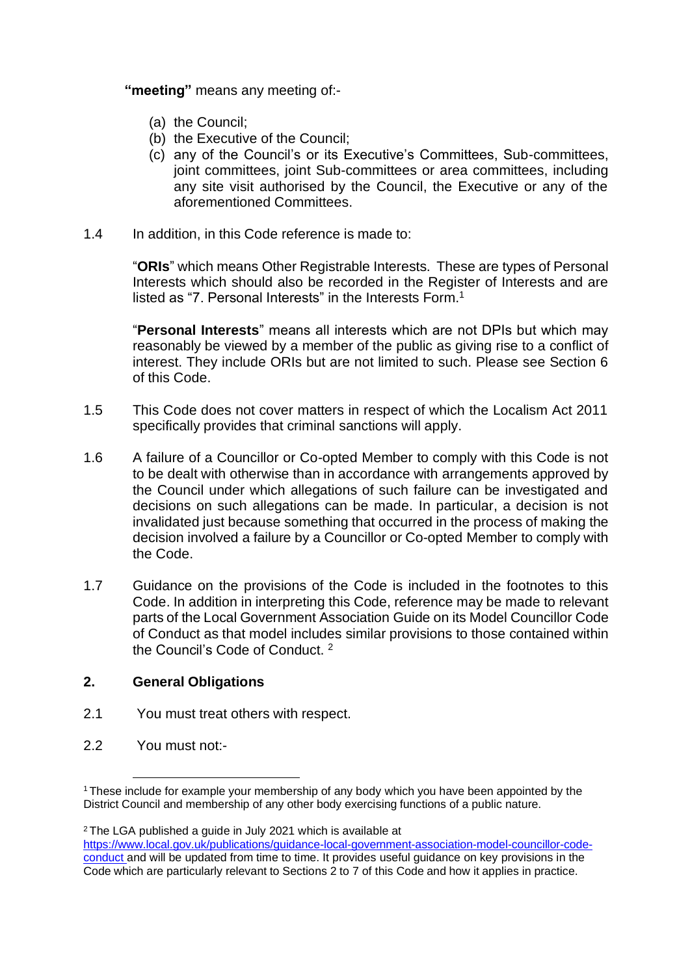**"meeting"** means any meeting of:-

- (a) the Council;
- (b) the Executive of the Council;
- (c) any of the Council's or its Executive's Committees, Sub-committees, joint committees, joint Sub-committees or area committees, including any site visit authorised by the Council, the Executive or any of the aforementioned Committees.
- 1.4 In addition, in this Code reference is made to:

"**ORIs**" which means Other Registrable Interests. These are types of Personal Interests which should also be recorded in the Register of Interests and are listed as "7. Personal Interests" in the Interests Form.<sup>1</sup>

"**Personal Interests**" means all interests which are not DPIs but which may reasonably be viewed by a member of the public as giving rise to a conflict of interest. They include ORIs but are not limited to such. Please see Section 6 of this Code.

- 1.5 This Code does not cover matters in respect of which the Localism Act 2011 specifically provides that criminal sanctions will apply.
- 1.6 A failure of a Councillor or Co-opted Member to comply with this Code is not to be dealt with otherwise than in accordance with arrangements approved by the Council under which allegations of such failure can be investigated and decisions on such allegations can be made. In particular, a decision is not invalidated just because something that occurred in the process of making the decision involved a failure by a Councillor or Co-opted Member to comply with the Code.
- 1.7 Guidance on the provisions of the Code is included in the footnotes to this Code. In addition in interpreting this Code, reference may be made to relevant parts of the Local Government Association Guide on its Model Councillor Code of Conduct as that model includes similar provisions to those contained within the Council's Code of Conduct. <sup>2</sup>

# **2. General Obligations**

- 2.1 You must treat others with respect.
- 2.2 You must not:-

<sup>2</sup> The LGA published a quide in July 2021 which is available at

<sup>&</sup>lt;sup>1</sup>These include for example your membership of any body which you have been appointed by the District Council and membership of any other body exercising functions of a public nature.

[https://www.local.gov.uk/publications/guidance-local-government-association-model-councillor-code](https://www.local.gov.uk/publications/guidance-local-government-association-model-councillor-code-conduct)[conduct a](https://www.local.gov.uk/publications/guidance-local-government-association-model-councillor-code-conduct)nd will be updated from time to time. It provides useful guidance on key provisions in the Code which are particularly relevant to Sections 2 to 7 of this Code and how it applies in practice.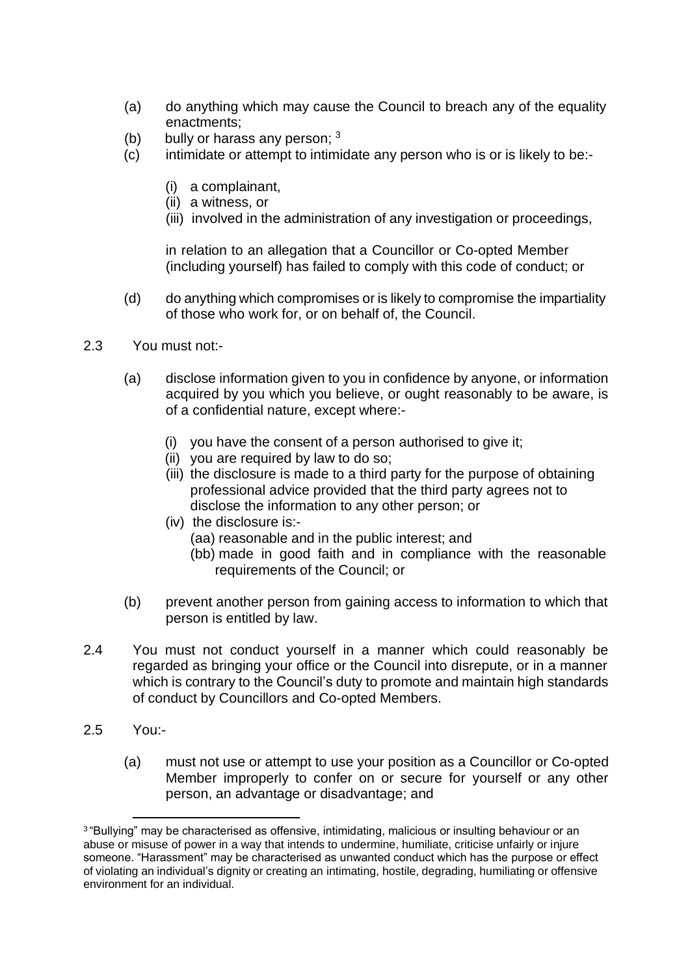- (a) do anything which may cause the Council to breach any of the equality enactments;
- (b) bully or harass any person;  $3 \times 3$
- (c) intimidate or attempt to intimidate any person who is or is likely to be:-
	- (i) a complainant,
	- (ii) a witness, or
	- (iii) involved in the administration of any investigation or proceedings,

in relation to an allegation that a Councillor or Co-opted Member (including yourself) has failed to comply with this code of conduct; or

- (d) do anything which compromises or is likely to compromise the impartiality of those who work for, or on behalf of, the Council.
- 2.3 You must not:-
	- (a) disclose information given to you in confidence by anyone, or information acquired by you which you believe, or ought reasonably to be aware, is of a confidential nature, except where:-
		- (i) you have the consent of a person authorised to give it;
		- (ii) you are required by law to do so;
		- (iii) the disclosure is made to a third party for the purpose of obtaining professional advice provided that the third party agrees not to disclose the information to any other person; or
		- (iv) the disclosure is:-
			- (aa) reasonable and in the public interest; and
			- (bb) made in good faith and in compliance with the reasonable requirements of the Council; or
	- (b) prevent another person from gaining access to information to which that person is entitled by law.
- 2.4 You must not conduct yourself in a manner which could reasonably be regarded as bringing your office or the Council into disrepute, or in a manner which is contrary to the Council's duty to promote and maintain high standards of conduct by Councillors and Co-opted Members.
- 2.5 You:-
	- (a) must not use or attempt to use your position as a Councillor or Co-opted Member improperly to confer on or secure for yourself or any other person, an advantage or disadvantage; and

<sup>3</sup>"Bullying" may be characterised as offensive, intimidating, malicious or insulting behaviour or an abuse or misuse of power in a way that intends to undermine, humiliate, criticise unfairly or injure someone. "Harassment" may be characterised as unwanted conduct which has the purpose or effect of violating an individual's dignity or creating an intimating, hostile, degrading, humiliating or offensive environment for an individual.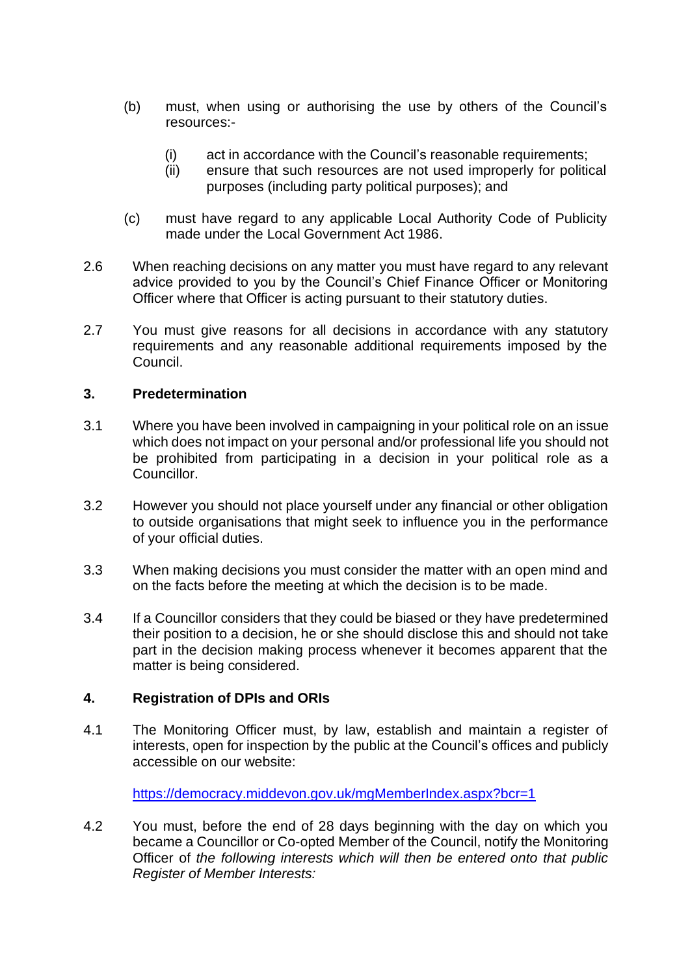- (b) must, when using or authorising the use by others of the Council's resources:-
	- (i) act in accordance with the Council's reasonable requirements;
	- (ii) ensure that such resources are not used improperly for political purposes (including party political purposes); and
- (c) must have regard to any applicable Local Authority Code of Publicity made under the Local Government Act 1986.
- 2.6 When reaching decisions on any matter you must have regard to any relevant advice provided to you by the Council's Chief Finance Officer or Monitoring Officer where that Officer is acting pursuant to their statutory duties.
- 2.7 You must give reasons for all decisions in accordance with any statutory requirements and any reasonable additional requirements imposed by the Council.

## **3. Predetermination**

- 3.1 Where you have been involved in campaigning in your political role on an issue which does not impact on your personal and/or professional life you should not be prohibited from participating in a decision in your political role as a Councillor.
- 3.2 However you should not place yourself under any financial or other obligation to outside organisations that might seek to influence you in the performance of your official duties.
- 3.3 When making decisions you must consider the matter with an open mind and on the facts before the meeting at which the decision is to be made.
- 3.4 If a Councillor considers that they could be biased or they have predetermined their position to a decision, he or she should disclose this and should not take part in the decision making process whenever it becomes apparent that the matter is being considered.

### **4. Registration of DPIs and ORIs**

4.1 The Monitoring Officer must, by law, establish and maintain a register of interests, open for inspection by the public at the Council's offices and publicly accessible on our website:

<https://democracy.middevon.gov.uk/mgMemberIndex.aspx?bcr=1>

4.2 You must, before the end of 28 days beginning with the day on which you became a Councillor or Co-opted Member of the Council, notify the Monitoring Officer of *the following interests which will then be entered onto that public Register of Member Interests:*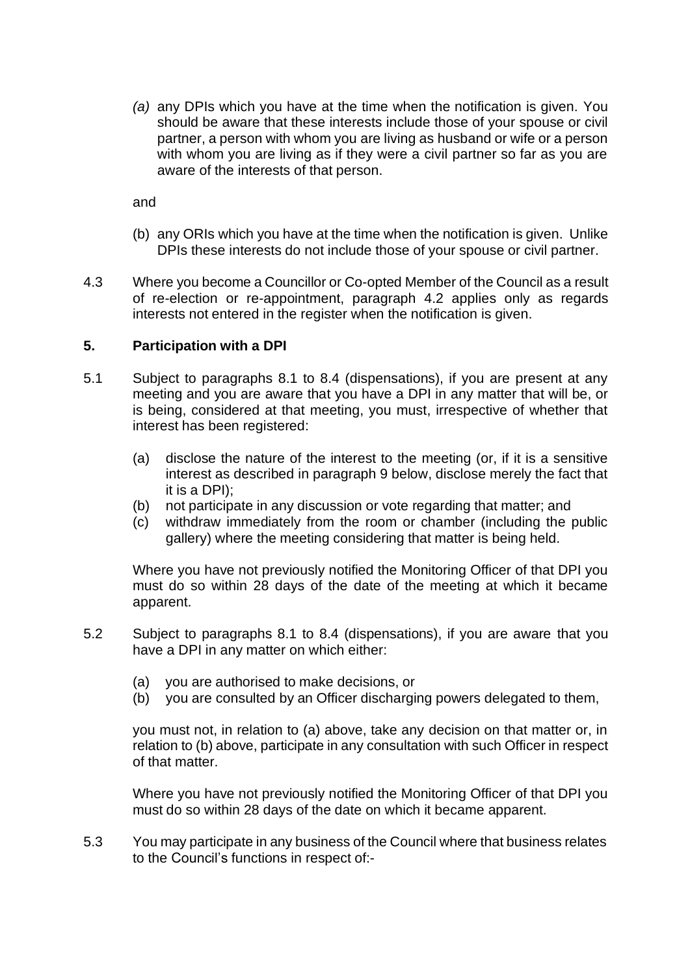*(a)* any DPIs which you have at the time when the notification is given. You should be aware that these interests include those of your spouse or civil partner, a person with whom you are living as husband or wife or a person with whom you are living as if they were a civil partner so far as you are aware of the interests of that person.

and

- (b) any ORIs which you have at the time when the notification is given. Unlike DPIs these interests do not include those of your spouse or civil partner.
- 4.3 Where you become a Councillor or Co-opted Member of the Council as a result of re-election or re-appointment, paragraph 4.2 applies only as regards interests not entered in the register when the notification is given.

### **5. Participation with a DPI**

- 5.1 Subject to paragraphs 8.1 to 8.4 (dispensations), if you are present at any meeting and you are aware that you have a DPI in any matter that will be, or is being, considered at that meeting, you must, irrespective of whether that interest has been registered:
	- (a) disclose the nature of the interest to the meeting (or, if it is a sensitive interest as described in paragraph 9 below, disclose merely the fact that it is a DPI);
	- (b) not participate in any discussion or vote regarding that matter; and
	- (c) withdraw immediately from the room or chamber (including the public gallery) where the meeting considering that matter is being held.

Where you have not previously notified the Monitoring Officer of that DPI you must do so within 28 days of the date of the meeting at which it became apparent.

- 5.2 Subject to paragraphs 8.1 to 8.4 (dispensations), if you are aware that you have a DPI in any matter on which either:
	- (a) you are authorised to make decisions, or
	- (b) you are consulted by an Officer discharging powers delegated to them,

you must not, in relation to (a) above, take any decision on that matter or, in relation to (b) above, participate in any consultation with such Officer in respect of that matter.

Where you have not previously notified the Monitoring Officer of that DPI you must do so within 28 days of the date on which it became apparent.

5.3 You may participate in any business of the Council where that business relates to the Council's functions in respect of:-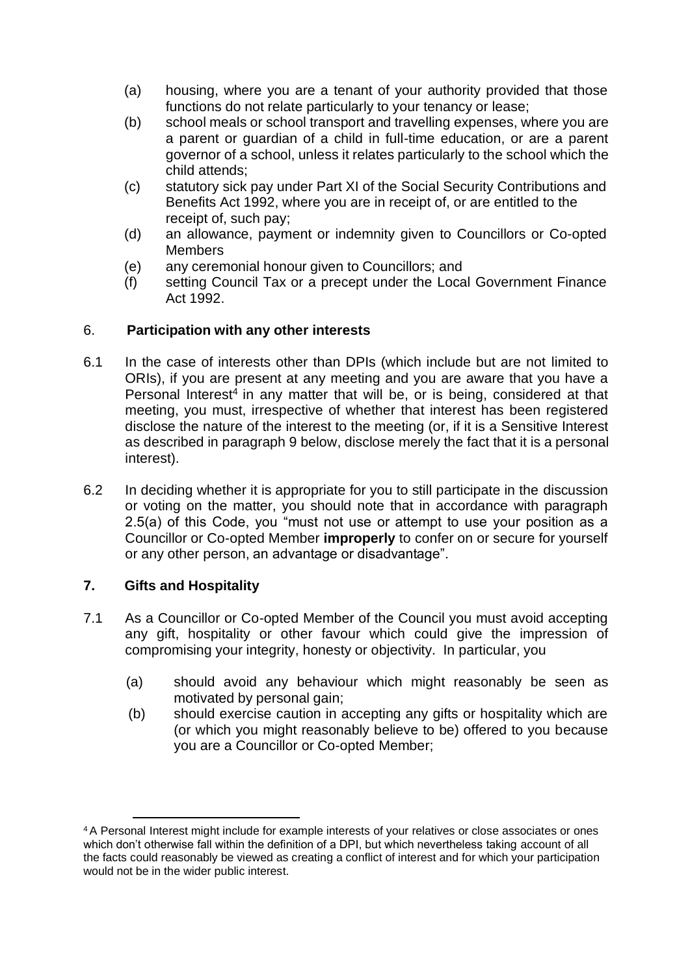- (a) housing, where you are a tenant of your authority provided that those functions do not relate particularly to your tenancy or lease;
- (b) school meals or school transport and travelling expenses, where you are a parent or guardian of a child in full-time education, or are a parent governor of a school, unless it relates particularly to the school which the child attends;
- (c) statutory sick pay under Part XI of the Social Security Contributions and Benefits Act 1992, where you are in receipt of, or are entitled to the receipt of, such pay;
- (d) an allowance, payment or indemnity given to Councillors or Co-opted **Members**
- (e) any ceremonial honour given to Councillors; and
- (f) setting Council Tax or a precept under the Local Government Finance Act 1992.

## 6. **Participation with any other interests**

- 6.1 In the case of interests other than DPIs (which include but are not limited to ORIs), if you are present at any meeting and you are aware that you have a Personal Interest<sup>4</sup> in any matter that will be, or is being, considered at that meeting, you must, irrespective of whether that interest has been registered disclose the nature of the interest to the meeting (or, if it is a Sensitive Interest as described in paragraph 9 below, disclose merely the fact that it is a personal interest).
- 6.2 In deciding whether it is appropriate for you to still participate in the discussion or voting on the matter, you should note that in accordance with paragraph 2.5(a) of this Code, you "must not use or attempt to use your position as a Councillor or Co-opted Member **improperly** to confer on or secure for yourself or any other person, an advantage or disadvantage".

# **7. Gifts and Hospitality**

- 7.1 As a Councillor or Co-opted Member of the Council you must avoid accepting any gift, hospitality or other favour which could give the impression of compromising your integrity, honesty or objectivity. In particular, you
	- (a) should avoid any behaviour which might reasonably be seen as motivated by personal gain;
	- (b) should exercise caution in accepting any gifts or hospitality which are (or which you might reasonably believe to be) offered to you because you are a Councillor or Co-opted Member;

<sup>4</sup>A Personal Interest might include for example interests of your relatives or close associates or ones which don't otherwise fall within the definition of a DPI, but which nevertheless taking account of all the facts could reasonably be viewed as creating a conflict of interest and for which your participation would not be in the wider public interest.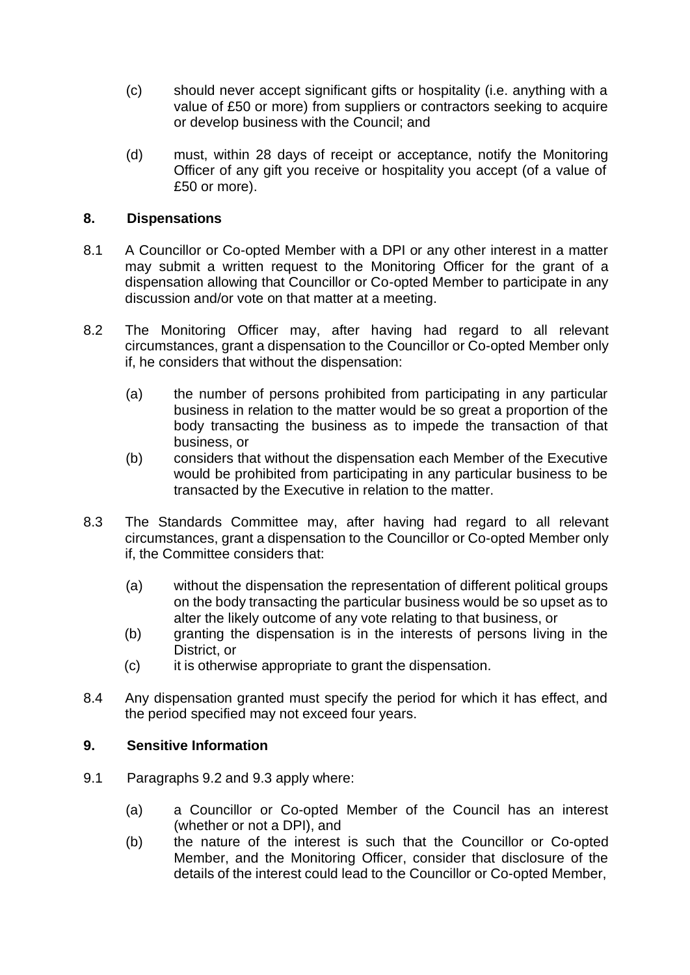- (c) should never accept significant gifts or hospitality (i.e. anything with a value of £50 or more) from suppliers or contractors seeking to acquire or develop business with the Council; and
- (d) must, within 28 days of receipt or acceptance, notify the Monitoring Officer of any gift you receive or hospitality you accept (of a value of £50 or more).

## **8. Dispensations**

- 8.1 A Councillor or Co-opted Member with a DPI or any other interest in a matter may submit a written request to the Monitoring Officer for the grant of a dispensation allowing that Councillor or Co-opted Member to participate in any discussion and/or vote on that matter at a meeting.
- 8.2 The Monitoring Officer may, after having had regard to all relevant circumstances, grant a dispensation to the Councillor or Co-opted Member only if, he considers that without the dispensation:
	- (a) the number of persons prohibited from participating in any particular business in relation to the matter would be so great a proportion of the body transacting the business as to impede the transaction of that business, or
	- (b) considers that without the dispensation each Member of the Executive would be prohibited from participating in any particular business to be transacted by the Executive in relation to the matter.
- 8.3 The Standards Committee may, after having had regard to all relevant circumstances, grant a dispensation to the Councillor or Co-opted Member only if, the Committee considers that:
	- (a) without the dispensation the representation of different political groups on the body transacting the particular business would be so upset as to alter the likely outcome of any vote relating to that business, or
	- (b) granting the dispensation is in the interests of persons living in the District, or
	- (c) it is otherwise appropriate to grant the dispensation.
- 8.4 Any dispensation granted must specify the period for which it has effect, and the period specified may not exceed four years.

### **9. Sensitive Information**

- 9.1 Paragraphs 9.2 and 9.3 apply where:
	- (a) a Councillor or Co-opted Member of the Council has an interest (whether or not a DPI), and
	- (b) the nature of the interest is such that the Councillor or Co-opted Member, and the Monitoring Officer, consider that disclosure of the details of the interest could lead to the Councillor or Co-opted Member,